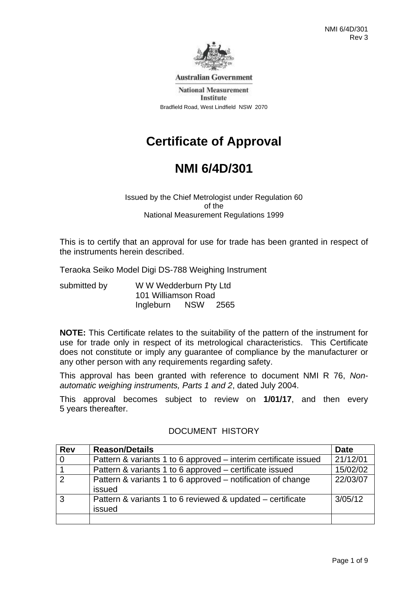

**Australian Government** 

**National Measurement** Institute Bradfield Road, West Lindfield NSW 2070

# **Certificate of Approval**

# **NMI 6/4D/301**

Issued by the Chief Metrologist under Regulation 60 of the National Measurement Regulations 1999

This is to certify that an approval for use for trade has been granted in respect of the instruments herein described.

Teraoka Seiko Model Digi DS-788 Weighing Instrument

| submitted by | W W Wedderburn Pty Ltd<br>101 Williamson Road |            |      |
|--------------|-----------------------------------------------|------------|------|
|              |                                               |            |      |
|              | Ingleburn                                     | <b>NSW</b> | 2565 |

**NOTE:** This Certificate relates to the suitability of the pattern of the instrument for use for trade only in respect of its metrological characteristics. This Certificate does not constitute or imply any guarantee of compliance by the manufacturer or any other person with any requirements regarding safety.

This approval has been granted with reference to document NMI R 76, *Nonautomatic weighing instruments, Parts 1 and 2*, dated July 2004.

This approval becomes subject to review on **1/01/17**, and then every 5 years thereafter.

| <b>Rev</b>     | <b>Reason/Details</b>                                                 | <b>Date</b> |
|----------------|-----------------------------------------------------------------------|-------------|
| $\overline{0}$ | Pattern & variants 1 to 6 approved – interim certificate issued       | 21/12/01    |
|                | Pattern & variants 1 to 6 approved – certificate issued               | 15/02/02    |
| $\overline{2}$ | Pattern & variants 1 to 6 approved – notification of change<br>issued | 22/03/07    |
| 3              | Pattern & variants 1 to 6 reviewed & updated – certificate<br>issued  | 3/05/12     |
|                |                                                                       |             |

### DOCUMENT HISTORY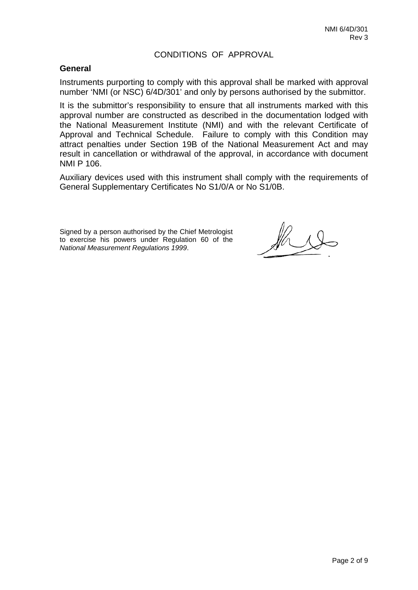#### CONDITIONS OF APPROVAL

#### **General**

Instruments purporting to comply with this approval shall be marked with approval number 'NMI (or NSC) 6/4D/301' and only by persons authorised by the submittor.

It is the submittor's responsibility to ensure that all instruments marked with this approval number are constructed as described in the documentation lodged with the National Measurement Institute (NMI) and with the relevant Certificate of Approval and Technical Schedule. Failure to comply with this Condition may attract penalties under Section 19B of the National Measurement Act and may result in cancellation or withdrawal of the approval, in accordance with document NMI P 106.

Auxiliary devices used with this instrument shall comply with the requirements of General Supplementary Certificates No S1/0/A or No S1/0B.

Signed by a person authorised by the Chief Metrologist to exercise his powers under Regulation 60 of the *National Measurement Regulations 1999*.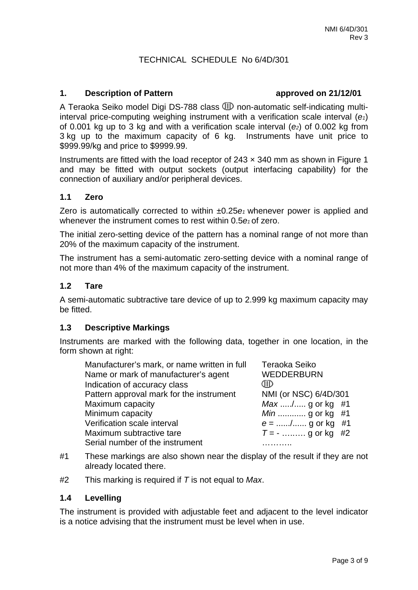### TECHNICAL SCHEDULE No 6/4D/301

#### 1. **Description of Pattern 21/12/01**

A Teraoka Seiko model Digi DS-788 class  $I\!\!\!\!I\!\!\!\!I$  non-automatic self-indicating multiinterval price-computing weighing instrument with a verification scale interval (*e1*) of 0.001 kg up to 3 kg and with a verification scale interval (*e2*) of 0.002 kg from 3 kg up to the maximum capacity of 6 kg. Instruments have unit price to \$999.99/kg and price to \$9999.99.

Instruments are fitted with the load receptor of  $243 \times 340$  mm as shown in Figure 1 and may be fitted with output sockets (output interfacing capability) for the connection of auxiliary and/or peripheral devices.

#### **1.1 Zero**

Zero is automatically corrected to within ±0.25*e1* whenever power is applied and whenever the instrument comes to rest within 0.5 $e_1$  of zero.

The initial zero-setting device of the pattern has a nominal range of not more than 20% of the maximum capacity of the instrument.

The instrument has a semi-automatic zero-setting device with a nominal range of not more than 4% of the maximum capacity of the instrument.

#### **1.2 Tare**

A semi-automatic subtractive tare device of up to 2.999 kg maximum capacity may be fitted.

#### **1.3 Descriptive Markings**

Instruments are marked with the following data, together in one location, in the form shown at right:

| Manufacturer's mark, or name written in full<br>Name or mark of manufacturer's agent<br>Indication of accuracy class | Teraoka Seiko<br><b>WEDDERBURN</b><br>CIID |
|----------------------------------------------------------------------------------------------------------------------|--------------------------------------------|
| Pattern approval mark for the instrument                                                                             | NMI (or NSC) 6/4D/301                      |
| Maximum capacity                                                                                                     | <i>Max /</i> g or kg #1                    |
| Minimum capacity                                                                                                     | <i>Min</i> g or kg #1                      |
| Verification scale interval                                                                                          | $e =$ / g or kg #1                         |
| Maximum subtractive tare                                                                                             | $T = -$ g or kg #2                         |
| Serial number of the instrument                                                                                      |                                            |

- #1 These markings are also shown near the display of the result if they are not already located there.
- #2 This marking is required if *T* is not equal to *Max*.

#### **1.4 Levelling**

The instrument is provided with adjustable feet and adjacent to the level indicator is a notice advising that the instrument must be level when in use.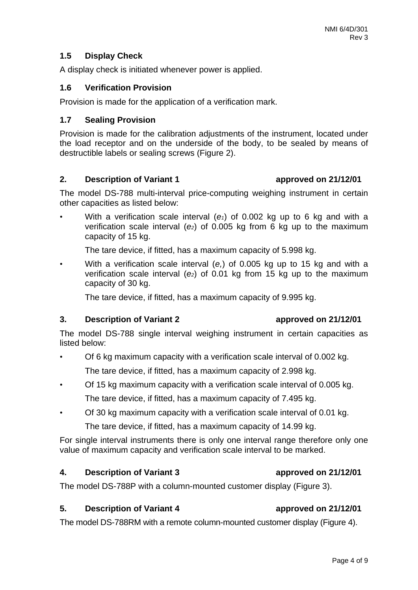### **1.5 Display Check**

A display check is initiated whenever power is applied.

#### **1.6 Verification Provision**

Provision is made for the application of a verification mark.

#### **1.7 Sealing Provision**

Provision is made for the calibration adjustments of the instrument, located under the load receptor and on the underside of the body, to be sealed by means of destructible labels or sealing screws (Figure 2).

#### **2. Description of Variant 1 approved on 21/12/01**

The model DS-788 multi-interval price-computing weighing instrument in certain other capacities as listed below:

With a verification scale interval  $(e_1)$  of 0.002 kg up to 6 kg and with a verification scale interval (*e2*) of 0.005 kg from 6 kg up to the maximum capacity of 15 kg.

The tare device, if fitted, has a maximum capacity of 5.998 kg.

• With a verification scale interval (*e,*) of 0.005 kg up to 15 kg and with a verification scale interval (*e2*) of 0.01 kg from 15 kg up to the maximum capacity of 30 kg.

The tare device, if fitted, has a maximum capacity of 9.995 kg.

#### **3. Description of Variant 2 approved on 21/12/01**

### The model DS-788 single interval weighing instrument in certain capacities as listed below:

- Of 6 kg maximum capacity with a verification scale interval of 0.002 kg. The tare device, if fitted, has a maximum capacity of 2.998 kg.
- Of 15 kg maximum capacity with a verification scale interval of 0.005 kg. The tare device, if fitted, has a maximum capacity of 7.495 kg.
- Of 30 kg maximum capacity with a verification scale interval of 0.01 kg. The tare device, if fitted, has a maximum capacity of 14.99 kg.

For single interval instruments there is only one interval range therefore only one value of maximum capacity and verification scale interval to be marked.

#### **4. Description of Variant 3 approved on 21/12/01**

The model DS-788P with a column-mounted customer display (Figure 3).

#### **5.** Description of Variant 4 **approved on 21/12/01**

The model DS-788RM with a remote column-mounted customer display (Figure 4).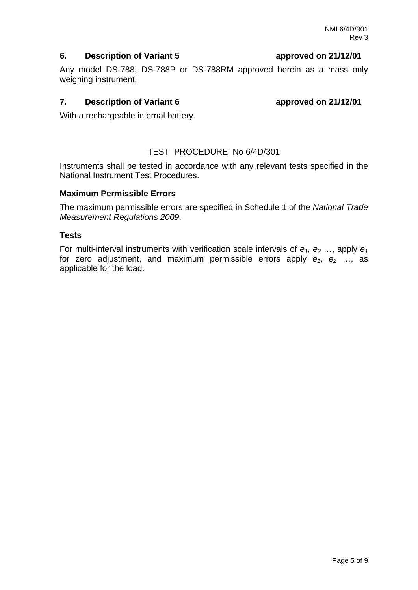Page 5 of 9

# **6. Description of Variant 5 approved on 21/12/01**

Any model DS-788, DS-788P or DS-788RM approved herein as a mass only weighing instrument.

# **7.** Description of Variant 6 **a** approved on 21/12/01

With a rechargeable internal battery.

# TEST PROCEDURE No 6/4D/301

Instruments shall be tested in accordance with any relevant tests specified in the National Instrument Test Procedures.

# **Maximum Permissible Errors**

The maximum permissible errors are specified in Schedule 1 of the *National Trade Measurement Regulations 2009*.

### **Tests**

For multi-interval instruments with verification scale intervals of  $e_1$ ,  $e_2$  ..., apply  $e_1$ for zero adjustment, and maximum permissible errors apply  $e_1$ ,  $e_2$  ..., as applicable for the load.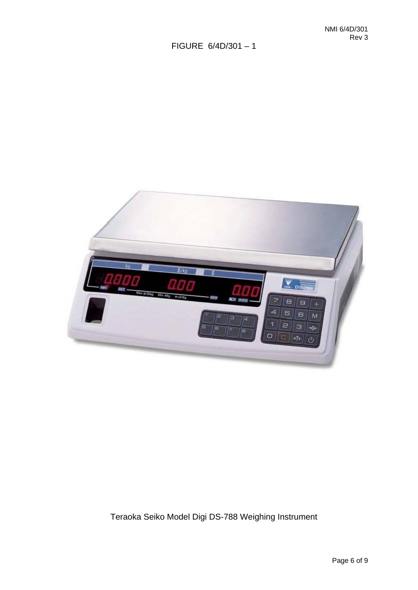

# Teraoka Seiko Model Digi DS-788 Weighing Instrument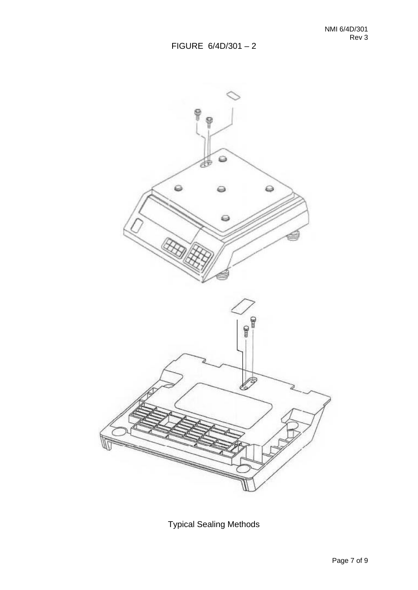

Typical Sealing Methods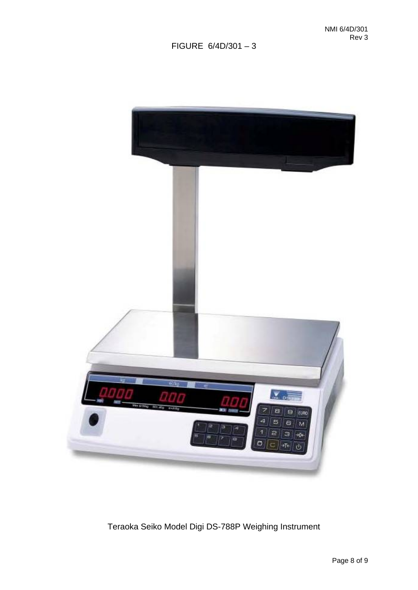

# Teraoka Seiko Model Digi DS-788P Weighing Instrument